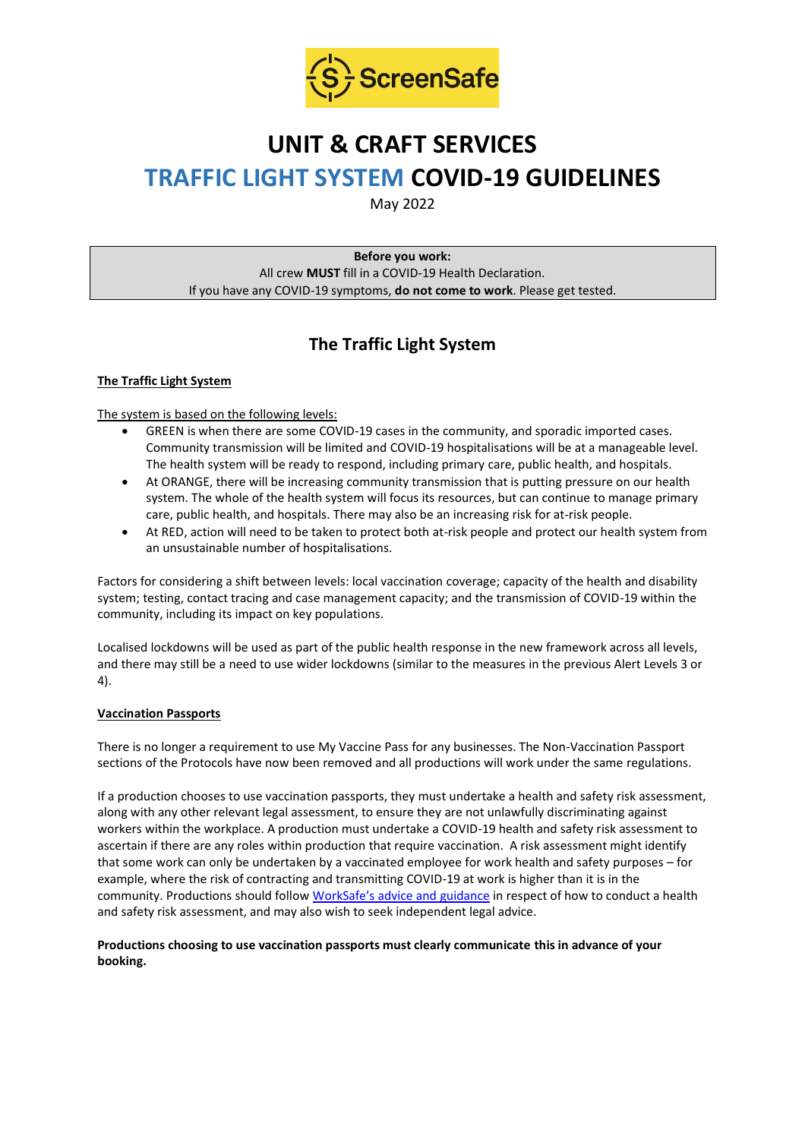

# **UNIT & CRAFT SERVICES TRAFFIC LIGHT SYSTEM COVID-19 GUIDELINES**

May 2022

**Before you work:** All crew **MUST** fill in a COVID-19 Health Declaration. If you have any COVID-19 symptoms, **do not come to work**. Please get tested.

# **The Traffic Light System**

# **The Traffic Light System**

The system is based on the following levels:

- GREEN is when there are some COVID-19 cases in the community, and sporadic imported cases. Community transmission will be limited and COVID-19 hospitalisations will be at a manageable level. The health system will be ready to respond, including primary care, public health, and hospitals.
- At ORANGE, there will be increasing community transmission that is putting pressure on our health system. The whole of the health system will focus its resources, but can continue to manage primary care, public health, and hospitals. There may also be an increasing risk for at-risk people.
- At RED, action will need to be taken to protect both at-risk people and protect our health system from an unsustainable number of hospitalisations.

Factors for considering a shift between levels: local vaccination coverage; capacity of the health and disability system; testing, contact tracing and case management capacity; and the transmission of COVID-19 within the community, including its impact on key populations.

Localised lockdowns will be used as part of the public health response in the new framework across all levels, and there may still be a need to use wider lockdowns (similar to the measures in the previous Alert Levels 3 or 4).

# **Vaccination Passports**

There is no longer a requirement to use My Vaccine Pass for any businesses. The Non-Vaccination Passport sections of the Protocols have now been removed and all productions will work under the same regulations.

If a production chooses to use vaccination passports, they must undertake a health and safety risk assessment, along with any other relevant legal assessment, to ensure they are not unlawfully discriminating against workers within the workplace. A production must undertake a COVID-19 health and safety risk assessment to ascertain if there are any roles within production that require vaccination. A risk assessment might identify that some work can only be undertaken by a vaccinated employee for work health and safety purposes – for example, where the risk of contracting and transmitting COVID-19 at work is higher than it is in the community. Productions should follow [WorkSafe's advice and guidance](https://www.worksafe.govt.nz/managing-health-and-safety/novel-coronavirus-covid/covid-19-controls-at-work/) in respect of how to conduct a health and safety risk assessment, and may also wish to seek independent legal advice.

# **Productions choosing to use vaccination passports must clearly communicate this in advance of your booking.**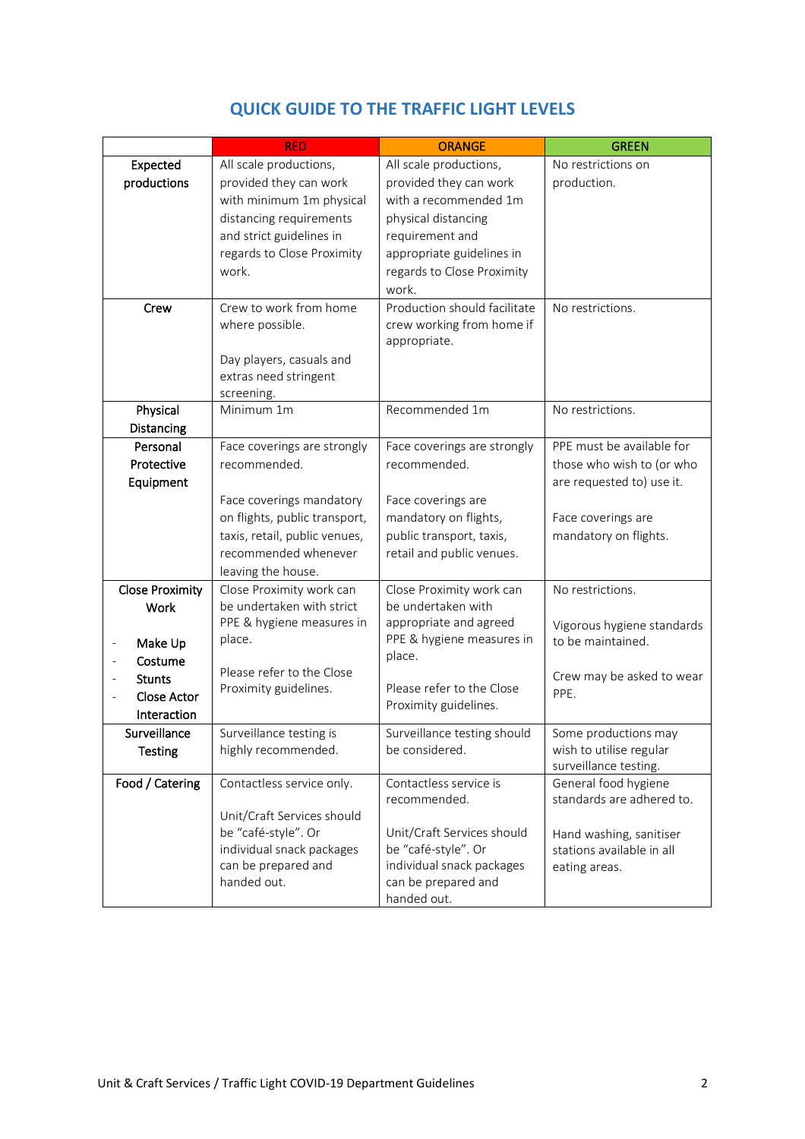|                                         | <b>RED</b>                    | <b>ORANGE</b>                | <b>GREEN</b>               |
|-----------------------------------------|-------------------------------|------------------------------|----------------------------|
| Expected                                | All scale productions,        | All scale productions,       | No restrictions on         |
| productions                             | provided they can work        | provided they can work       | production.                |
|                                         | with minimum 1m physical      | with a recommended 1m        |                            |
|                                         | distancing requirements       | physical distancing          |                            |
|                                         | and strict guidelines in      | requirement and              |                            |
|                                         | regards to Close Proximity    | appropriate guidelines in    |                            |
|                                         | work.                         | regards to Close Proximity   |                            |
|                                         |                               | work.                        |                            |
| Crew                                    | Crew to work from home        | Production should facilitate | No restrictions.           |
|                                         | where possible.               | crew working from home if    |                            |
|                                         |                               | appropriate.                 |                            |
|                                         | Day players, casuals and      |                              |                            |
|                                         | extras need stringent         |                              |                            |
|                                         | screening.                    |                              |                            |
| Physical                                | Minimum 1m                    | Recommended 1m               | No restrictions.           |
| Distancing                              |                               |                              |                            |
| Personal                                | Face coverings are strongly   | Face coverings are strongly  | PPE must be available for  |
| Protective                              | recommended.                  | recommended.                 | those who wish to (or who  |
| Equipment                               |                               |                              | are requested to) use it.  |
|                                         | Face coverings mandatory      | Face coverings are           |                            |
|                                         | on flights, public transport, | mandatory on flights,        | Face coverings are         |
|                                         | taxis, retail, public venues, | public transport, taxis,     | mandatory on flights.      |
|                                         | recommended whenever          | retail and public venues.    |                            |
|                                         | leaving the house.            |                              |                            |
| <b>Close Proximity</b>                  | Close Proximity work can      | Close Proximity work can     | No restrictions.           |
| <b>Work</b>                             | be undertaken with strict     | be undertaken with           |                            |
|                                         | PPE & hygiene measures in     | appropriate and agreed       | Vigorous hygiene standards |
| Make Up<br>$\qquad \qquad \blacksquare$ | place.                        | PPE & hygiene measures in    | to be maintained.          |
| Costume                                 |                               | place.                       |                            |
| <b>Stunts</b>                           | Please refer to the Close     |                              | Crew may be asked to wear  |
| <b>Close Actor</b>                      | Proximity guidelines.         | Please refer to the Close    | PPE.                       |
| Interaction                             |                               | Proximity guidelines.        |                            |
| Surveillance                            | Surveillance testing is       | Surveillance testing should  | Some productions may       |
| <b>Testing</b>                          | highly recommended.           | be considered.               | wish to utilise regular    |
|                                         |                               |                              | surveillance testing.      |
| Food / Catering                         | Contactless service only.     | Contactless service is       | General food hygiene       |
|                                         |                               | recommended.                 | standards are adhered to.  |
|                                         | Unit/Craft Services should    |                              |                            |
|                                         | be "café-style". Or           | Unit/Craft Services should   | Hand washing, sanitiser    |
|                                         | individual snack packages     | be "café-style". Or          | stations available in all  |
|                                         | can be prepared and           | individual snack packages    | eating areas.              |
|                                         | handed out.                   | can be prepared and          |                            |
|                                         |                               | handed out.                  |                            |

# **QUICK GUIDE TO THE TRAFFIC LIGHT LEVELS**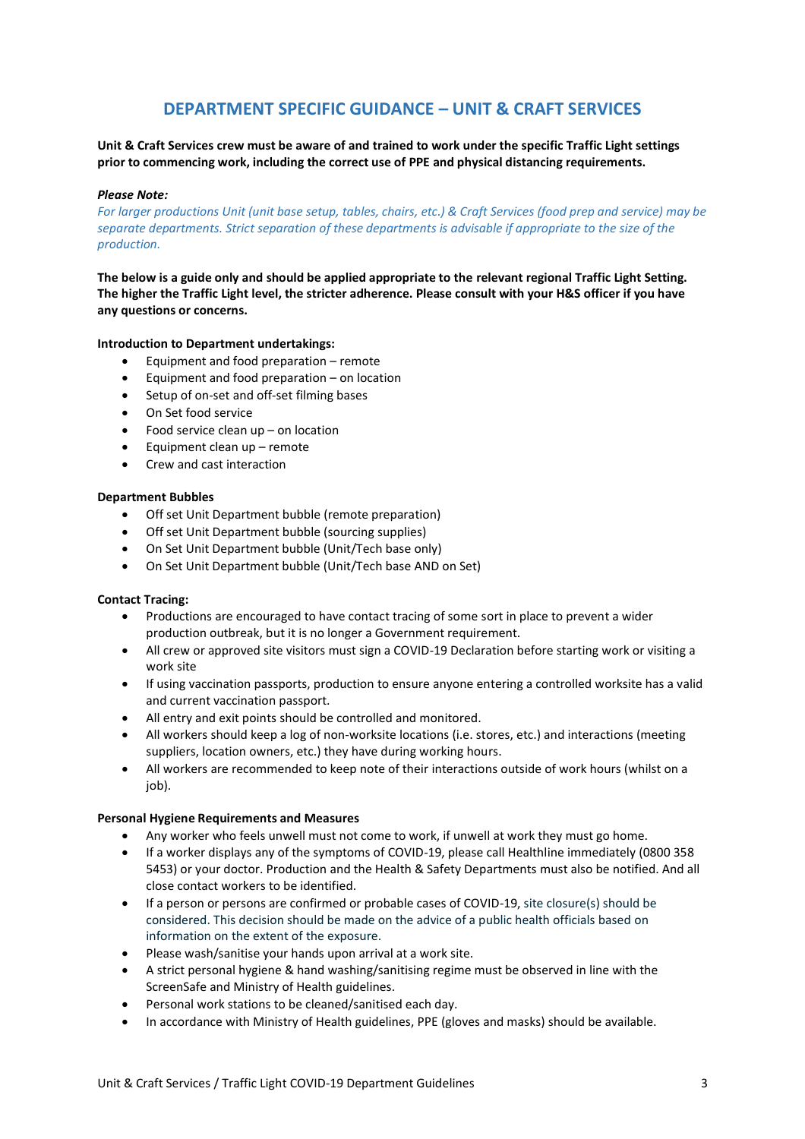# **DEPARTMENT SPECIFIC GUIDANCE – UNIT & CRAFT SERVICES**

**Unit & Craft Services crew must be aware of and trained to work under the specific Traffic Light settings prior to commencing work, including the correct use of PPE and physical distancing requirements.**

#### *Please Note:*

*For larger productions Unit (unit base setup, tables, chairs, etc.) & Craft Services (food prep and service) may be separate departments. Strict separation of these departments is advisable if appropriate to the size of the production.*

**The below is a guide only and should be applied appropriate to the relevant regional Traffic Light Setting. The higher the Traffic Light level, the stricter adherence. Please consult with your H&S officer if you have any questions or concerns.**

#### **Introduction to Department undertakings:**

- Equipment and food preparation remote
- Equipment and food preparation  $-$  on location
- Setup of on-set and off-set filming bases
- On Set food service
- Food service clean up on location
- Equipment clean up remote
- Crew and cast interaction

#### **Department Bubbles**

- Off set Unit Department bubble (remote preparation)
- Off set Unit Department bubble (sourcing supplies)
- On Set Unit Department bubble (Unit/Tech base only)
- On Set Unit Department bubble (Unit/Tech base AND on Set)

#### **Contact Tracing:**

- Productions are encouraged to have contact tracing of some sort in place to prevent a wider production outbreak, but it is no longer a Government requirement.
- All crew or approved site visitors must sign a COVID-19 Declaration before starting work or visiting a work site
- If using vaccination passports, production to ensure anyone entering a controlled worksite has a valid and current vaccination passport.
- All entry and exit points should be controlled and monitored.
- All workers should keep a log of non-worksite locations (i.e. stores, etc.) and interactions (meeting suppliers, location owners, etc.) they have during working hours.
- All workers are recommended to keep note of their interactions outside of work hours (whilst on a job).

#### **Personal Hygiene Requirements and Measures**

- Any worker who feels unwell must not come to work, if unwell at work they must go home.
- If a worker displays any of the symptoms of COVID-19, please call Healthline immediately (0800 358 5453) or your doctor. Production and the Health & Safety Departments must also be notified. And all close contact workers to be identified.
- If a person or persons are confirmed or probable cases of COVID-19, site closure(s) should be considered. This decision should be made on the advice of a public health officials based on information on the extent of the exposure.
- Please wash/sanitise your hands upon arrival at a work site.
- A strict personal hygiene & hand washing/sanitising regime must be observed in line with the ScreenSafe and Ministry of Health guidelines.
- Personal work stations to be cleaned/sanitised each day.
- In accordance with Ministry of Health guidelines, PPE (gloves and masks) should be available.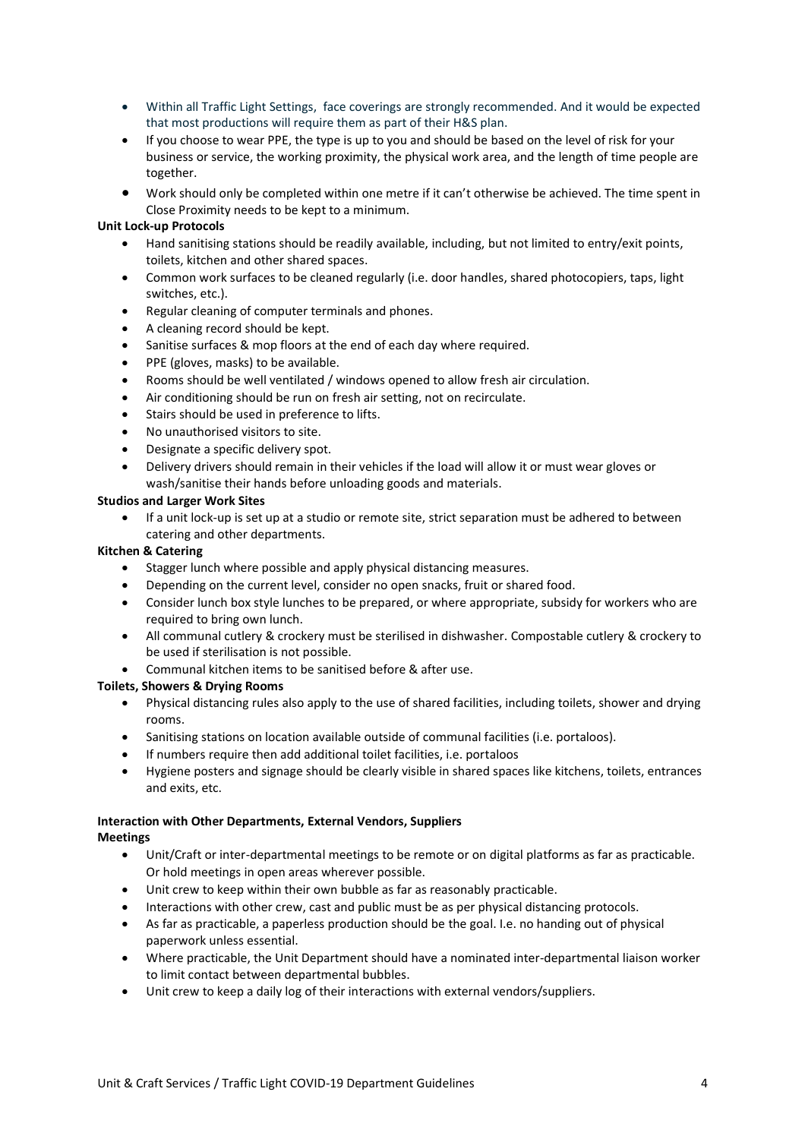- Within all Traffic Light Settings, face coverings are strongly recommended. And it would be expected that most productions will require them as part of their H&S plan.
- If you choose to wear PPE, the type is up to you and should be based on the level of risk for your business or service, the working proximity, the physical work area, and the length of time people are together.
- Work should only be completed within one metre if it can't otherwise be achieved. The time spent in Close Proximity needs to be kept to a minimum.

### **Unit Lock-up Protocols**

- Hand sanitising stations should be readily available, including, but not limited to entry/exit points, toilets, kitchen and other shared spaces.
- Common work surfaces to be cleaned regularly (i.e. door handles, shared photocopiers, taps, light switches, etc.).
- Regular cleaning of computer terminals and phones.
- A cleaning record should be kept.
- Sanitise surfaces & mop floors at the end of each day where required.
- PPE (gloves, masks) to be available.
- Rooms should be well ventilated / windows opened to allow fresh air circulation.
- Air conditioning should be run on fresh air setting, not on recirculate.
- Stairs should be used in preference to lifts.
- No unauthorised visitors to site.
- Designate a specific delivery spot.
- Delivery drivers should remain in their vehicles if the load will allow it or must wear gloves or wash/sanitise their hands before unloading goods and materials.

### **Studios and Larger Work Sites**

• If a unit lock-up is set up at a studio or remote site, strict separation must be adhered to between catering and other departments.

# **Kitchen & Catering**

- Stagger lunch where possible and apply physical distancing measures.
- Depending on the current level, consider no open snacks, fruit or shared food.
- Consider lunch box style lunches to be prepared, or where appropriate, subsidy for workers who are required to bring own lunch.
- All communal cutlery & crockery must be sterilised in dishwasher. Compostable cutlery & crockery to be used if sterilisation is not possible.
- Communal kitchen items to be sanitised before & after use.

# **Toilets, Showers & Drying Rooms**

- Physical distancing rules also apply to the use of shared facilities, including toilets, shower and drying rooms.
- Sanitising stations on location available outside of communal facilities (i.e. portaloos).
- If numbers require then add additional toilet facilities, i.e. portaloos
- Hygiene posters and signage should be clearly visible in shared spaces like kitchens, toilets, entrances and exits, etc.

# **Interaction with Other Departments, External Vendors, Suppliers**

### **Meetings**

- Unit/Craft or inter-departmental meetings to be remote or on digital platforms as far as practicable. Or hold meetings in open areas wherever possible.
- Unit crew to keep within their own bubble as far as reasonably practicable.
- Interactions with other crew, cast and public must be as per physical distancing protocols.
- As far as practicable, a paperless production should be the goal. I.e. no handing out of physical paperwork unless essential.
- Where practicable, the Unit Department should have a nominated inter-departmental liaison worker to limit contact between departmental bubbles.
- Unit crew to keep a daily log of their interactions with external vendors/suppliers.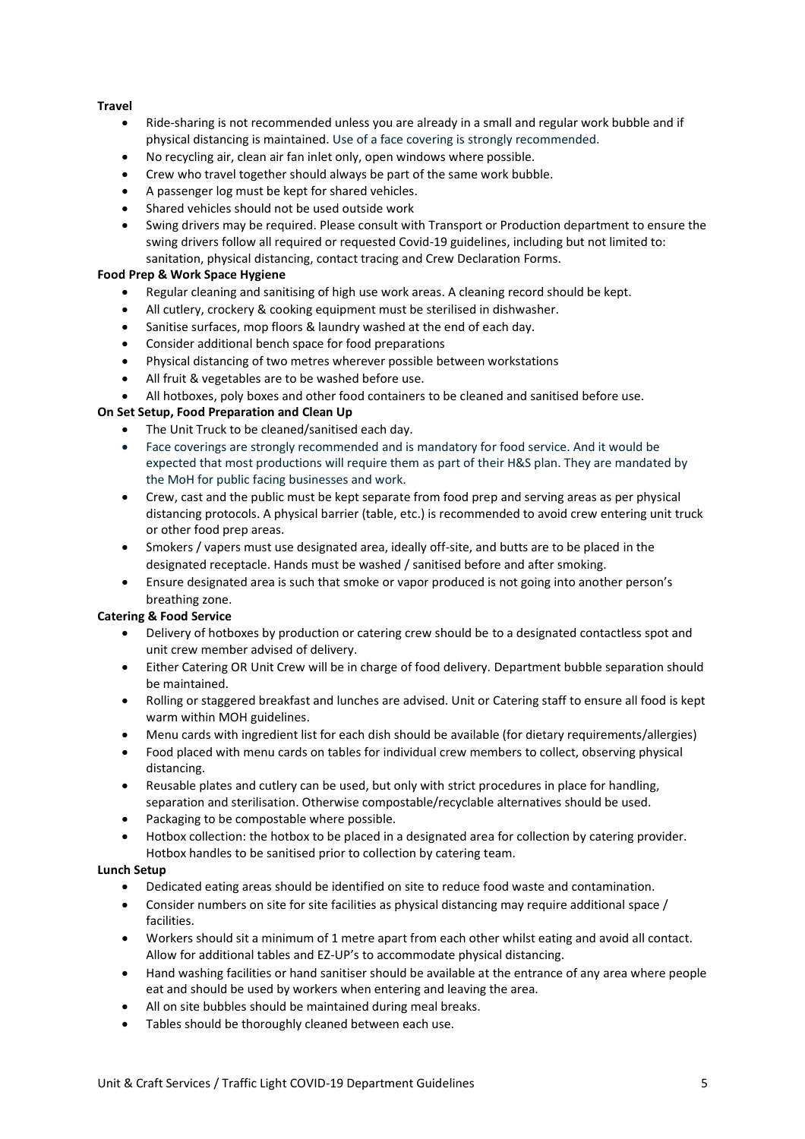# **Travel**

- Ride-sharing is not recommended unless you are already in a small and regular work bubble and if physical distancing is maintained. Use of a face covering is strongly recommended.
- No recycling air, clean air fan inlet only, open windows where possible.
- Crew who travel together should always be part of the same work bubble.
- A passenger log must be kept for shared vehicles.
- Shared vehicles should not be used outside work
- Swing drivers may be required. Please consult with Transport or Production department to ensure the swing drivers follow all required or requested Covid-19 guidelines, including but not limited to:

# sanitation, physical distancing, contact tracing and Crew Declaration Forms.

# **Food Prep & Work Space Hygiene**

- Regular cleaning and sanitising of high use work areas. A cleaning record should be kept.
- All cutlery, crockery & cooking equipment must be sterilised in dishwasher.
- Sanitise surfaces, mop floors & laundry washed at the end of each day.
- Consider additional bench space for food preparations
- Physical distancing of two metres wherever possible between workstations
- All fruit & vegetables are to be washed before use.
- All hotboxes, poly boxes and other food containers to be cleaned and sanitised before use.

# **On Set Setup, Food Preparation and Clean Up**

- The Unit Truck to be cleaned/sanitised each day.
- Face coverings are strongly recommended and is mandatory for food service. And it would be expected that most productions will require them as part of their H&S plan. They are mandated by the MoH for public facing businesses and work.
- Crew, cast and the public must be kept separate from food prep and serving areas as per physical distancing protocols. A physical barrier (table, etc.) is recommended to avoid crew entering unit truck or other food prep areas.
- Smokers / vapers must use designated area, ideally off-site, and butts are to be placed in the designated receptacle. Hands must be washed / sanitised before and after smoking.
- Ensure designated area is such that smoke or vapor produced is not going into another person's breathing zone.

# **Catering & Food Service**

- Delivery of hotboxes by production or catering crew should be to a designated contactless spot and unit crew member advised of delivery.
- Either Catering OR Unit Crew will be in charge of food delivery. Department bubble separation should be maintained.
- Rolling or staggered breakfast and lunches are advised. Unit or Catering staff to ensure all food is kept warm within MOH guidelines.
- Menu cards with ingredient list for each dish should be available (for dietary requirements/allergies)
- Food placed with menu cards on tables for individual crew members to collect, observing physical distancing.
- Reusable plates and cutlery can be used, but only with strict procedures in place for handling, separation and sterilisation. Otherwise compostable/recyclable alternatives should be used.
- Packaging to be compostable where possible.
- Hotbox collection: the hotbox to be placed in a designated area for collection by catering provider. Hotbox handles to be sanitised prior to collection by catering team.

### **Lunch Setup**

- Dedicated eating areas should be identified on site to reduce food waste and contamination.
- Consider numbers on site for site facilities as physical distancing may require additional space / facilities.
- Workers should sit a minimum of 1 metre apart from each other whilst eating and avoid all contact. Allow for additional tables and EZ-UP's to accommodate physical distancing.
- Hand washing facilities or hand sanitiser should be available at the entrance of any area where people eat and should be used by workers when entering and leaving the area.
- All on site bubbles should be maintained during meal breaks.
- Tables should be thoroughly cleaned between each use.